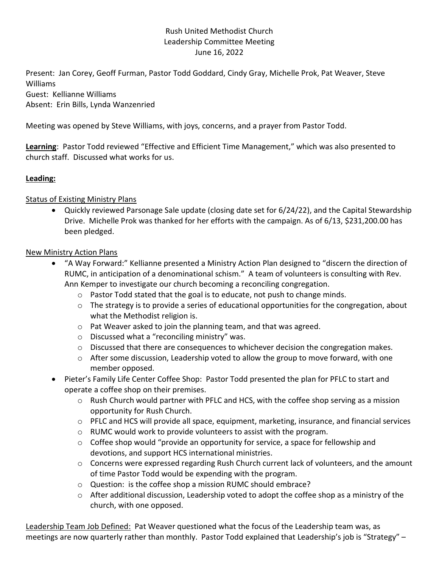## Rush United Methodist Church Leadership Committee Meeting June 16, 2022

Present: Jan Corey, Geoff Furman, Pastor Todd Goddard, Cindy Gray, Michelle Prok, Pat Weaver, Steve Williams Guest: Kellianne Williams Absent: Erin Bills, Lynda Wanzenried

Meeting was opened by Steve Williams, with joys, concerns, and a prayer from Pastor Todd.

Learning: Pastor Todd reviewed "Effective and Efficient Time Management," which was also presented to church staff. Discussed what works for us.

## Leading:

### **Status of Existing Ministry Plans**

 Quickly reviewed Parsonage Sale update (closing date set for 6/24/22), and the Capital Stewardship Drive. Michelle Prok was thanked for her efforts with the campaign. As of 6/13, \$231,200.00 has been pledged.

### New Ministry Action Plans

- "A Way Forward:" Kellianne presented a Ministry Action Plan designed to "discern the direction of RUMC, in anticipation of a denominational schism." A team of volunteers is consulting with Rev. Ann Kemper to investigate our church becoming a reconciling congregation.
	- $\circ$  Pastor Todd stated that the goal is to educate, not push to change minds.
	- $\circ$  The strategy is to provide a series of educational opportunities for the congregation, about what the Methodist religion is.
	- o Pat Weaver asked to join the planning team, and that was agreed.
	- o Discussed what a "reconciling ministry" was.
	- $\circ$  Discussed that there are consequences to whichever decision the congregation makes.
	- $\circ$  After some discussion, Leadership voted to allow the group to move forward, with one member opposed.
- Pieter's Family Life Center Coffee Shop: Pastor Todd presented the plan for PFLC to start and operate a coffee shop on their premises.
	- o Rush Church would partner with PFLC and HCS, with the coffee shop serving as a mission opportunity for Rush Church.
	- $\circ$  PFLC and HCS will provide all space, equipment, marketing, insurance, and financial services
	- $\circ$  RUMC would work to provide volunteers to assist with the program.
	- $\circ$  Coffee shop would "provide an opportunity for service, a space for fellowship and devotions, and support HCS international ministries.
	- $\circ$  Concerns were expressed regarding Rush Church current lack of volunteers, and the amount of time Pastor Todd would be expending with the program.
	- o Question: is the coffee shop a mission RUMC should embrace?
	- $\circ$  After additional discussion, Leadership voted to adopt the coffee shop as a ministry of the church, with one opposed.

Leadership Team Job Defined: Pat Weaver questioned what the focus of the Leadership team was, as meetings are now quarterly rather than monthly. Pastor Todd explained that Leadership's job is "Strategy" –